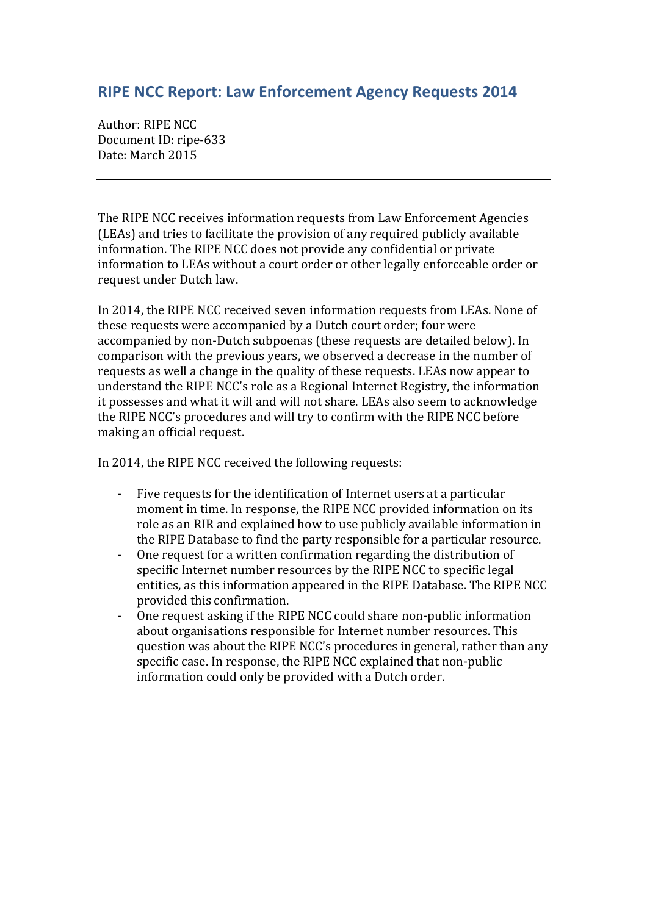## **RIPE NCC Report: Law Enforcement Agency Requests 2014**

Author: RIPE NCC Document ID: ripe-633 Date: March 2015

The RIPE NCC receives information requests from Law Enforcement Agencies (LEAs) and tries to facilitate the provision of any required publicly available information. The RIPE NCC does not provide any confidential or private information to LEAs without a court order or other legally enforceable order or request under Dutch law.

In 2014, the RIPE NCC received seven information requests from LEAs. None of these requests were accompanied by a Dutch court order; four were accompanied by non-Dutch subpoenas (these requests are detailed below). In comparison with the previous years, we observed a decrease in the number of requests as well a change in the quality of these requests. LEAs now appear to understand the RIPE NCC's role as a Regional Internet Registry, the information it possesses and what it will and will not share. LEAs also seem to acknowledge the RIPE NCC's procedures and will try to confirm with the RIPE NCC before making an official request.

In 2014, the RIPE NCC received the following requests:

- Five requests for the identification of Internet users at a particular moment in time. In response, the RIPE NCC provided information on its role as an RIR and explained how to use publicly available information in the RIPE Database to find the party responsible for a particular resource.
- One request for a written confirmation regarding the distribution of specific Internet number resources by the RIPE NCC to specific legal entities, as this information appeared in the RIPE Database. The RIPE NCC provided this confirmation.
- One request asking if the RIPE NCC could share non-public information about organisations responsible for Internet number resources. This question was about the RIPE NCC's procedures in general, rather than any specific case. In response, the RIPE NCC explained that non-public information could only be provided with a Dutch order.